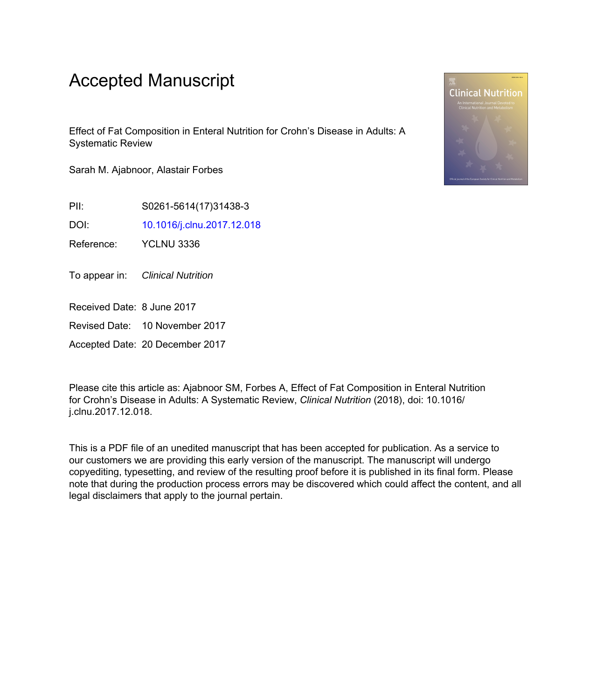# Accepted Manuscript

Effect of Fat Composition in Enteral Nutrition for Crohn's Disease in Adults: A Systematic Review

Sarah M. Ajabnoor, Alastair Forbes

PII: S0261-5614(17)31438-3

DOI: [10.1016/j.clnu.2017.12.018](https://doi.org/10.1016/j.clnu.2017.12.018)

Reference: YCLNU 3336

To appear in: Clinical Nutrition

Received Date: 8 June 2017

Revised Date: 10 November 2017

Accepted Date: 20 December 2017

Please cite this article as: Ajabnoor SM, Forbes A, Effect of Fat Composition in Enteral Nutrition for Crohn's Disease in Adults: A Systematic Review, *Clinical Nutrition* (2018), doi: 10.1016/ j.clnu.2017.12.018.

This is a PDF file of an unedited manuscript that has been accepted for publication. As a service to our customers we are providing this early version of the manuscript. The manuscript will undergo copyediting, typesetting, and review of the resulting proof before it is published in its final form. Please note that during the production process errors may be discovered which could affect the content, and all legal disclaimers that apply to the journal pertain.

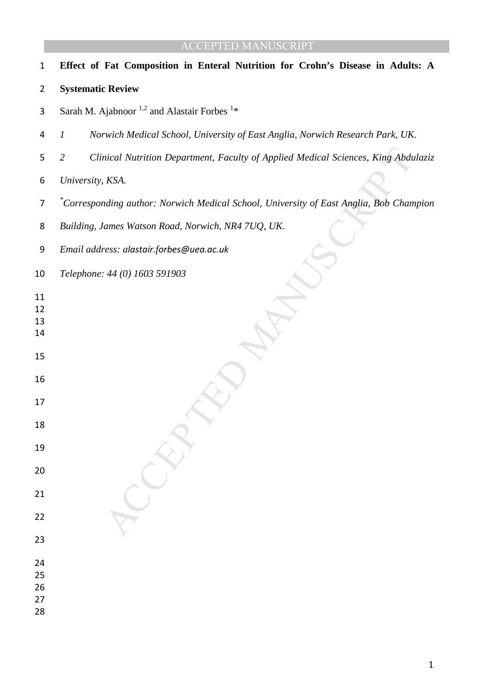nical Nutrition Department, Faculty of Applied Medical Sciences, King Abdu<br>KSA.<br>
KSA.<br>
Mang author: Norwich Medical School, University of East Anglia, Bob Chan<br>
dames Watson Road, Norwich, NR4 7UQ, UK.<br>
Access: alastair, f **Effect of Fat Composition in Enteral Nutrition for Crohn's Disease in Adults: A Systematic Review**  3 Sarah M. Ajabnoor<sup>1,2</sup> and Alastair Forbes<sup>1\*</sup> *1 Norwich Medical School, University of East Anglia, Norwich Research Park, UK. 2 Clinical Nutrition Department, Faculty of Applied Medical Sciences, King Abdulaziz University, KSA. \* Corresponding author: Norwich Medical School, University of East Anglia, Bob Champion Building, James Watson Road, Norwich, NR4 7UQ, UK. Email address: alastair.forbes@uea.ac.uk Telephone: 44 (0) 1603 591903*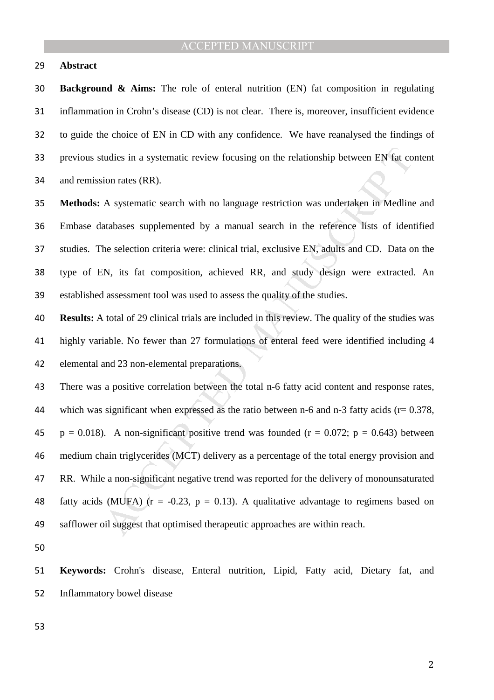#### **Abstract**

**Background & Aims:** The role of enteral nutrition (EN) fat composition in regulating inflammation in Crohn's disease (CD) is not clear. There is, moreover, insufficient evidence to guide the choice of EN in CD with any confidence. We have reanalysed the findings of previous studies in a systematic review focusing on the relationship between EN fat content and remission rates (RR).

**Methods:** A systematic search with no language restriction was undertaken in Medline and Embase databases supplemented by a manual search in the reference lists of identified studies. The selection criteria were: clinical trial, exclusive EN, adults and CD. Data on the type of EN, its fat composition, achieved RR, and study design were extracted. An established assessment tool was used to assess the quality of the studies.

**Results:** A total of 29 clinical trials are included in this review. The quality of the studies was highly variable. No fewer than 27 formulations of enteral feed were identified including 4 elemental and 23 non-elemental preparations.

tudies in a systematic review focusing on the relationship between EN fat co<br>ion rates (RR).<br>A systematic search with no language restriction was undertaken in Medline<br>atabases supplemented by a manual search in the refer There was a positive correlation between the total n-6 fatty acid content and response rates, 44 which was significant when expressed as the ratio between n-6 and n-3 fatty acids ( $r = 0.378$ , 45 p = 0.018). A non-significant positive trend was founded ( $r = 0.072$ ; p = 0.643) between medium chain triglycerides (MCT) delivery as a percentage of the total energy provision and RR. While a non-significant negative trend was reported for the delivery of monounsaturated 48 fatty acids (MUFA)  $(r = -0.23, p = 0.13)$ . A qualitative advantage to regimens based on safflower oil suggest that optimised therapeutic approaches are within reach.

**Keywords:** Crohn's disease, Enteral nutrition, Lipid, Fatty acid, Dietary fat, and Inflammatory bowel disease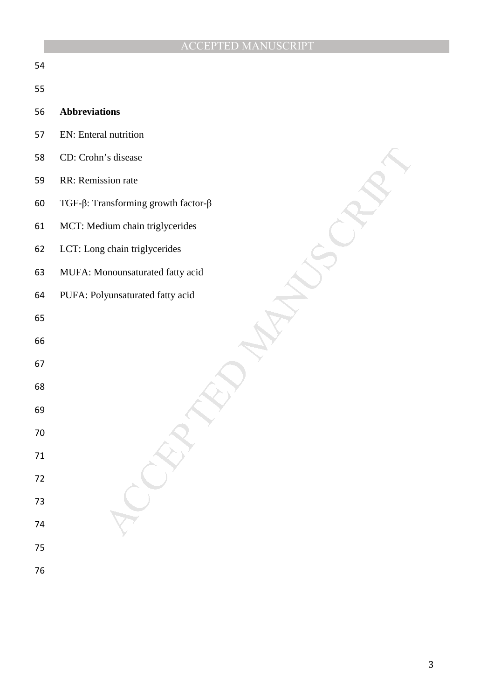| 54     |                                                    |
|--------|----------------------------------------------------|
| 55     |                                                    |
| 56     | <b>Abbreviations</b>                               |
| 57     | EN: Enteral nutrition                              |
| 58     | CD: Crohn's disease                                |
| 59     | RR: Remission rate                                 |
| 60     | TGF- $\beta$ : Transforming growth factor- $\beta$ |
| 61     | MCT: Medium chain triglycerides                    |
| 62     | LCT: Long chain triglycerides                      |
| 63     | MUFA: Monounsaturated fatty acid                   |
| 64     | PUFA: Polyunsaturated fatty acid                   |
| 65     |                                                    |
| 66     |                                                    |
| 67     |                                                    |
| 68     |                                                    |
| 69     |                                                    |
| 70     |                                                    |
| $71\,$ |                                                    |
| $72\,$ |                                                    |
| $73\,$ |                                                    |
| 74     |                                                    |
| $75\,$ |                                                    |
| 76     |                                                    |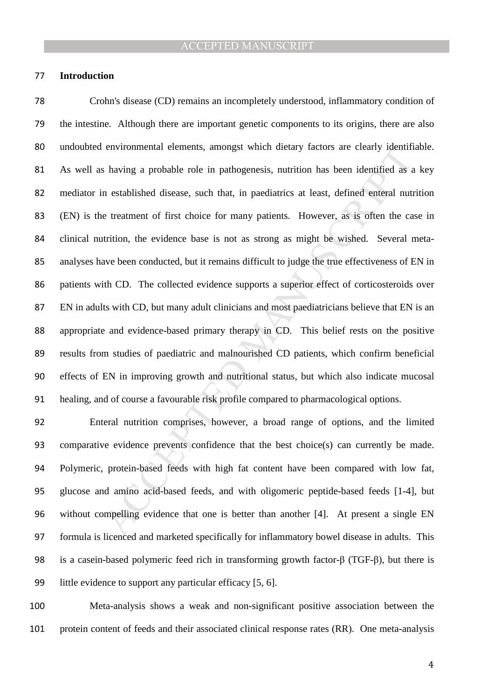#### **Introduction**

environmental elements, amongst which dietary factors are clearly identified as a<br>h established disease, such that, in paediatrics at least, defined enteral nuti<br>et etatment of first choice for many patients. However, as i Crohn's disease (CD) remains an incompletely understood, inflammatory condition of the intestine. Although there are important genetic components to its origins, there are also undoubted environmental elements, amongst which dietary factors are clearly identifiable. As well as having a probable role in pathogenesis, nutrition has been identified as a key mediator in established disease, such that, in paediatrics at least, defined enteral nutrition (EN) is the treatment of first choice for many patients. However, as is often the case in clinical nutrition, the evidence base is not as strong as might be wished. Several meta-analyses have been conducted, but it remains difficult to judge the true effectiveness of EN in patients with CD. The collected evidence supports a superior effect of corticosteroids over EN in adults with CD, but many adult clinicians and most paediatricians believe that EN is an appropriate and evidence-based primary therapy in CD. This belief rests on the positive results from studies of paediatric and malnourished CD patients, which confirm beneficial effects of EN in improving growth and nutritional status, but which also indicate mucosal healing, and of course a favourable risk profile compared to pharmacological options.

Enteral nutrition comprises, however, a broad range of options, and the limited comparative evidence prevents confidence that the best choice(s) can currently be made. Polymeric, protein-based feeds with high fat content have been compared with low fat, glucose and amino acid-based feeds, and with oligomeric peptide-based feeds [1-4], but without compelling evidence that one is better than another [4]. At present a single EN formula is licenced and marketed specifically for inflammatory bowel disease in adults. This is a casein-based polymeric feed rich in transforming growth factor-β (TGF-β), but there is little evidence to support any particular efficacy [5, 6].

Meta-analysis shows a weak and non-significant positive association between the protein content of feeds and their associated clinical response rates (RR). One meta-analysis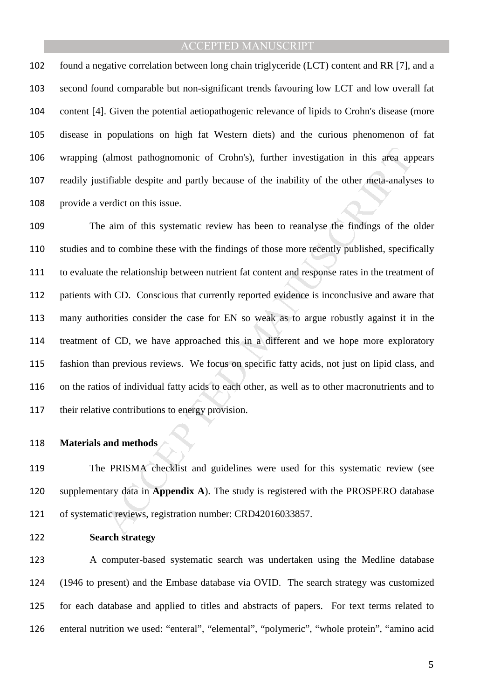found a negative correlation between long chain triglyceride (LCT) content and RR [7], and a second found comparable but non-significant trends favouring low LCT and low overall fat content [4]. Given the potential aetiopathogenic relevance of lipids to Crohn's disease (more disease in populations on high fat Western diets) and the curious phenomenon of fat wrapping (almost pathognomonic of Crohn's), further investigation in this area appears readily justifiable despite and partly because of the inability of the other meta-analyses to provide a verdict on this issue.

(almost pathognomonic of Crohn's), further investigation in this area approximate despite and partly because of the inability of the other meta-analys verdict on this issue.<br>
e aim of this systematic review has been to rea The aim of this systematic review has been to reanalyse the findings of the older studies and to combine these with the findings of those more recently published, specifically to evaluate the relationship between nutrient fat content and response rates in the treatment of patients with CD. Conscious that currently reported evidence is inconclusive and aware that many authorities consider the case for EN so weak as to argue robustly against it in the treatment of CD, we have approached this in a different and we hope more exploratory fashion than previous reviews. We focus on specific fatty acids, not just on lipid class, and on the ratios of individual fatty acids to each other, as well as to other macronutrients and to their relative contributions to energy provision.

### **Materials and methods**

The PRISMA checklist and guidelines were used for this systematic review (see supplementary data in **Appendix A**). The study is registered with the PROSPERO database of systematic reviews, registration number: CRD42016033857.

**Search strategy** 

A computer-based systematic search was undertaken using the Medline database (1946 to present) and the Embase database via OVID. The search strategy was customized for each database and applied to titles and abstracts of papers. For text terms related to enteral nutrition we used: "enteral", "elemental", "polymeric", "whole protein", "amino acid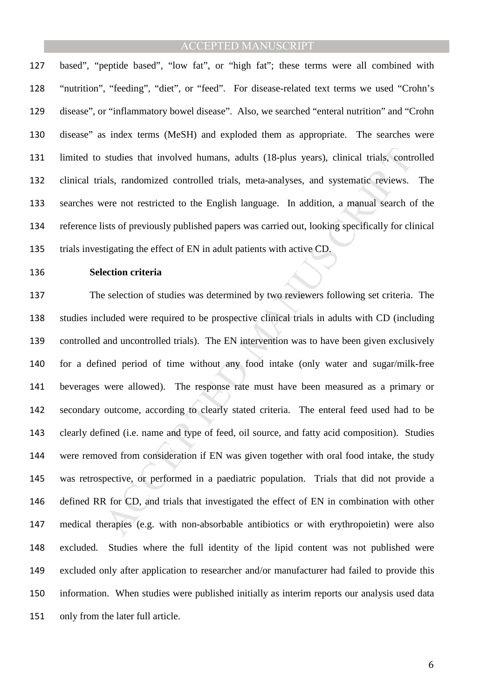based", "peptide based", "low fat", or "high fat"; these terms were all combined with "nutrition", "feeding", "diet", or "feed". For disease-related text terms we used "Crohn's disease", or "inflammatory bowel disease". Also, we searched "enteral nutrition" and "Crohn disease" as index terms (MeSH) and exploded them as appropriate. The searches were limited to studies that involved humans, adults (18-plus years), clinical trials, controlled clinical trials, randomized controlled trials, meta-analyses, and systematic reviews. The searches were not restricted to the English language. In addition, a manual search of the reference lists of previously published papers was carried out, looking specifically for clinical trials investigating the effect of EN in adult patients with active CD.

#### **Selection criteria**

studies that involved humans, adults (18-plus years), clinical trials, contrals, randomized controlled trials, meta-analyses, and systematic reviews.<br>
sere not restricted to the English language. In addition, a manual sear The selection of studies was determined by two reviewers following set criteria. The studies included were required to be prospective clinical trials in adults with CD (including controlled and uncontrolled trials). The EN intervention was to have been given exclusively for a defined period of time without any food intake (only water and sugar/milk-free beverages were allowed). The response rate must have been measured as a primary or secondary outcome, according to clearly stated criteria. The enteral feed used had to be clearly defined (i.e. name and type of feed, oil source, and fatty acid composition). Studies were removed from consideration if EN was given together with oral food intake, the study was retrospective, or performed in a paediatric population. Trials that did not provide a defined RR for CD, and trials that investigated the effect of EN in combination with other medical therapies (e.g. with non-absorbable antibiotics or with erythropoietin) were also excluded. Studies where the full identity of the lipid content was not published were excluded only after application to researcher and/or manufacturer had failed to provide this information. When studies were published initially as interim reports our analysis used data only from the later full article.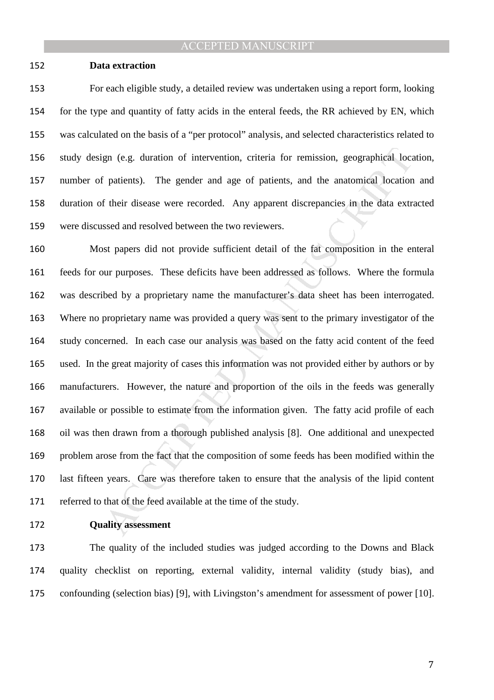#### **Data extraction**

For each eligible study, a detailed review was undertaken using a report form, looking for the type and quantity of fatty acids in the enteral feeds, the RR achieved by EN, which was calculated on the basis of a "per protocol" analysis, and selected characteristics related to study design (e.g. duration of intervention, criteria for remission, geographical location, number of patients). The gender and age of patients, and the anatomical location and duration of their disease were recorded. Any apparent discrepancies in the data extracted were discussed and resolved between the two reviewers.

gn (e.g. duration of intervention, criteria for remission, geographical local<br>projections). The gender and age of patients, and the anatomical location<br>f their disease were recorded. Any apparent discrepancies in the data Most papers did not provide sufficient detail of the fat composition in the enteral feeds for our purposes. These deficits have been addressed as follows. Where the formula was described by a proprietary name the manufacturer's data sheet has been interrogated. Where no proprietary name was provided a query was sent to the primary investigator of the study concerned. In each case our analysis was based on the fatty acid content of the feed used. In the great majority of cases this information was not provided either by authors or by manufacturers. However, the nature and proportion of the oils in the feeds was generally available or possible to estimate from the information given. The fatty acid profile of each oil was then drawn from a thorough published analysis [8]. One additional and unexpected problem arose from the fact that the composition of some feeds has been modified within the last fifteen years. Care was therefore taken to ensure that the analysis of the lipid content referred to that of the feed available at the time of the study.

## **Quality assessment**

The quality of the included studies was judged according to the Downs and Black quality checklist on reporting, external validity, internal validity (study bias), and confounding (selection bias) [9], with Livingston's amendment for assessment of power [10].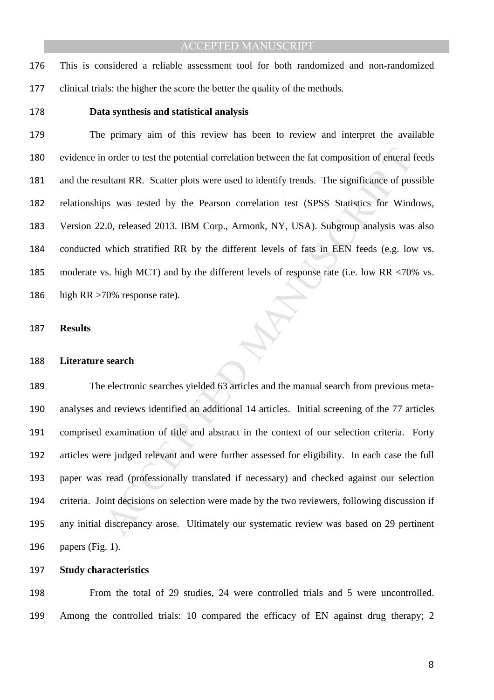This is considered a reliable assessment tool for both randomized and non-randomized clinical trials: the higher the score the better the quality of the methods.

#### **Data synthesis and statistical analysis**

and the potential correlation between the fat composition of enteral is<br>ultant RR. Scatter plots were used to identify trends. The significance of pos<br>ps was tested by the Pearson correlation test (SPSS Statistics for Wind The primary aim of this review has been to review and interpret the available evidence in order to test the potential correlation between the fat composition of enteral feeds and the resultant RR. Scatter plots were used to identify trends. The significance of possible relationships was tested by the Pearson correlation test (SPSS Statistics for Windows, Version 22.0, released 2013. IBM Corp., Armonk, NY, USA). Subgroup analysis was also conducted which stratified RR by the different levels of fats in EEN feeds (e.g. low vs. moderate vs. high MCT) and by the different levels of response rate (i.e. low RR <70% vs. high RR >70% response rate).

#### **Results**

#### **Literature search**

The electronic searches yielded 63 articles and the manual search from previous meta-analyses and reviews identified an additional 14 articles. Initial screening of the 77 articles comprised examination of title and abstract in the context of our selection criteria. Forty articles were judged relevant and were further assessed for eligibility. In each case the full paper was read (professionally translated if necessary) and checked against our selection criteria. Joint decisions on selection were made by the two reviewers, following discussion if any initial discrepancy arose. Ultimately our systematic review was based on 29 pertinent papers (Fig. 1).

#### **Study characteristics**

From the total of 29 studies, 24 were controlled trials and 5 were uncontrolled. Among the controlled trials: 10 compared the efficacy of EN against drug therapy; 2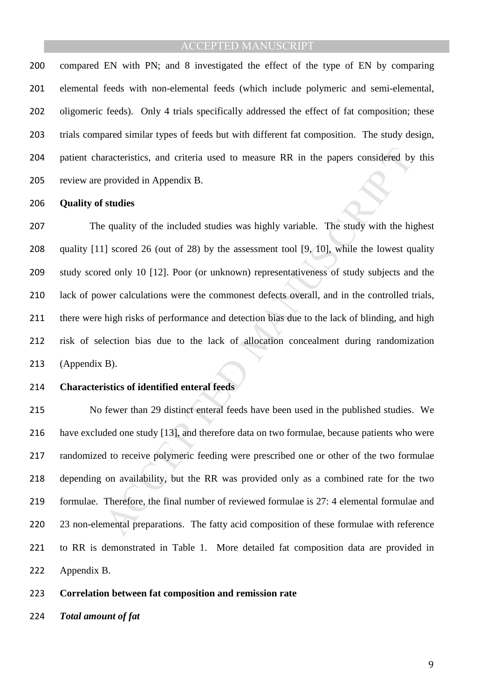compared EN with PN; and 8 investigated the effect of the type of EN by comparing elemental feeds with non-elemental feeds (which include polymeric and semi-elemental, oligomeric feeds). Only 4 trials specifically addressed the effect of fat composition; these trials compared similar types of feeds but with different fat composition. The study design, patient characteristics, and criteria used to measure RR in the papers considered by this review are provided in Appendix B.

#### **Quality of studies**

and criteria used to measure RR in the papers considered by<br>provided in Appendix B.<br>**Studies**<br>generality of the included studies was highly variable. The study with the hij<br>generality of the included studies was highly var The quality of the included studies was highly variable. The study with the highest 208 quality [11] scored 26 (out of 28) by the assessment tool [9, 10], while the lowest quality study scored only 10 [12]. Poor (or unknown) representativeness of study subjects and the lack of power calculations were the commonest defects overall, and in the controlled trials, there were high risks of performance and detection bias due to the lack of blinding, and high risk of selection bias due to the lack of allocation concealment during randomization (Appendix B).

#### **Characteristics of identified enteral feeds**

No fewer than 29 distinct enteral feeds have been used in the published studies. We have excluded one study [13], and therefore data on two formulae, because patients who were randomized to receive polymeric feeding were prescribed one or other of the two formulae depending on availability, but the RR was provided only as a combined rate for the two formulae. Therefore, the final number of reviewed formulae is 27: 4 elemental formulae and 220 23 non-elemental preparations. The fatty acid composition of these formulae with reference to RR is demonstrated in Table 1. More detailed fat composition data are provided in Appendix B.

#### **Correlation between fat composition and remission rate**

*Total amount of fat*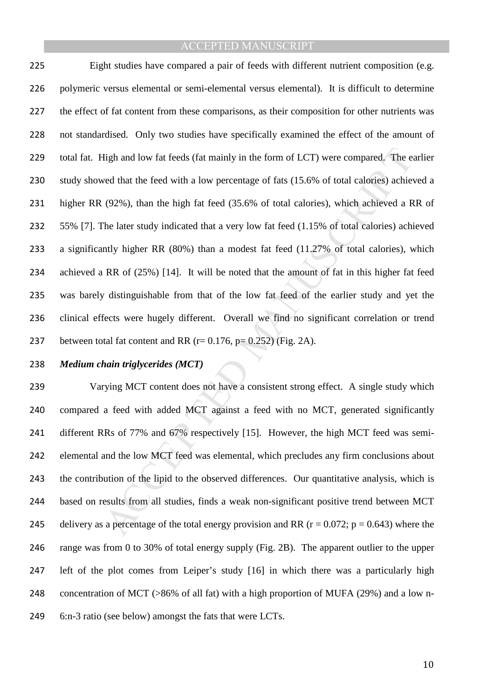Iigh and low fat feeds (fat mainly in the form of LCT) were compared. The exercit that the feed with a low percentage of fats (15.6% of total calories) achieved a R (92%), than the high fat feed (35.6% of total calories), Eight studies have compared a pair of feeds with different nutrient composition (e.g. polymeric versus elemental or semi-elemental versus elemental). It is difficult to determine 227 the effect of fat content from these comparisons, as their composition for other nutrients was 228 not standardised. Only two studies have specifically examined the effect of the amount of total fat. High and low fat feeds (fat mainly in the form of LCT) were compared. The earlier study showed that the feed with a low percentage of fats (15.6% of total calories) achieved a higher RR (92%), than the high fat feed (35.6% of total calories), which achieved a RR of 55% [7]. The later study indicated that a very low fat feed (1.15% of total calories) achieved a significantly higher RR (80%) than a modest fat feed (11.27% of total calories), which achieved a RR of (25%) [14]. It will be noted that the amount of fat in this higher fat feed was barely distinguishable from that of the low fat feed of the earlier study and yet the clinical effects were hugely different. Overall we find no significant correlation or trend 237 between total fat content and RR  $(r= 0.176, p= 0.252)$  (Fig. 2A).

### *Medium chain triglycerides (MCT)*

Varying MCT content does not have a consistent strong effect. A single study which compared a feed with added MCT against a feed with no MCT, generated significantly different RRs of 77% and 67% respectively [15]. However, the high MCT feed was semi-elemental and the low MCT feed was elemental, which precludes any firm conclusions about the contribution of the lipid to the observed differences. Our quantitative analysis, which is based on results from all studies, finds a weak non-significant positive trend between MCT 245 delivery as a percentage of the total energy provision and RR ( $r = 0.072$ ;  $p = 0.643$ ) where the range was from 0 to 30% of total energy supply (Fig. 2B). The apparent outlier to the upper left of the plot comes from Leiper's study [16] in which there was a particularly high concentration of MCT (>86% of all fat) with a high proportion of MUFA (29%) and a low n-6:n-3 ratio (see below) amongst the fats that were LCTs.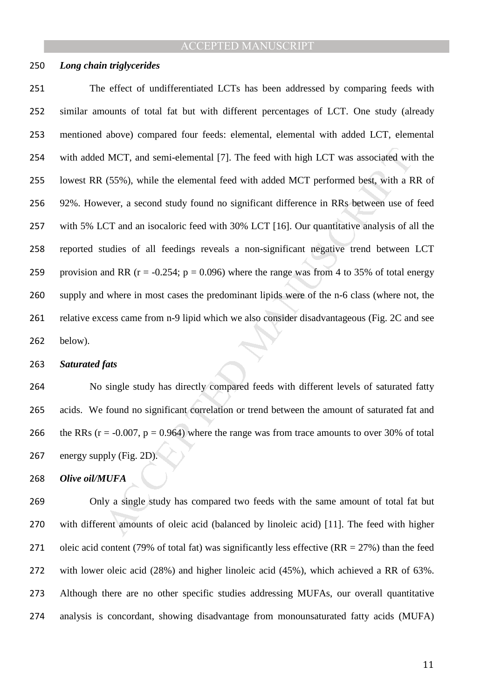#### *Long chain triglycerides*

I MCT, and semi-elemental [7]. The feed with high LCT was associated wit<br>
(55%), while the elemental feed with added MCT performed best, with a R<br>
ever, a second study found no significant difference in RRs between use of The effect of undifferentiated LCTs has been addressed by comparing feeds with similar amounts of total fat but with different percentages of LCT. One study (already mentioned above) compared four feeds: elemental, elemental with added LCT, elemental with added MCT, and semi-elemental [7]. The feed with high LCT was associated with the lowest RR (55%), while the elemental feed with added MCT performed best, with a RR of 92%. However, a second study found no significant difference in RRs between use of feed with 5% LCT and an isocaloric feed with 30% LCT [16]. Our quantitative analysis of all the reported studies of all feedings reveals a non-significant negative trend between LCT 259 provision and RR ( $r = -0.254$ ;  $p = 0.096$ ) where the range was from 4 to 35% of total energy supply and where in most cases the predominant lipids were of the n-6 class (where not, the relative excess came from n-9 lipid which we also consider disadvantageous (Fig. 2C and see below).

#### *Saturated fats*

No single study has directly compared feeds with different levels of saturated fatty acids. We found no significant correlation or trend between the amount of saturated fat and 266 the RRs ( $r = -0.007$ ,  $p = 0.964$ ) where the range was from trace amounts to over 30% of total energy supply (Fig. 2D).

*Olive oil/MUFA*

Only a single study has compared two feeds with the same amount of total fat but with different amounts of oleic acid (balanced by linoleic acid) [11]. The feed with higher 271 oleic acid content (79% of total fat) was significantly less effective  $(RR = 27%)$  than the feed with lower oleic acid (28%) and higher linoleic acid (45%), which achieved a RR of 63%. Although there are no other specific studies addressing MUFAs, our overall quantitative analysis is concordant, showing disadvantage from monounsaturated fatty acids (MUFA)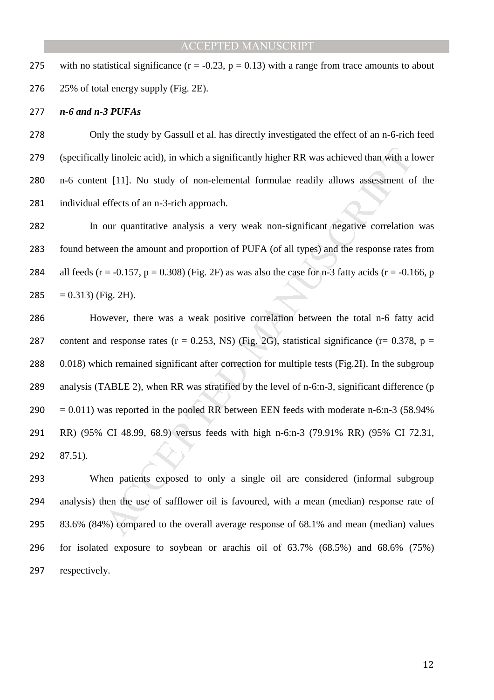275 with no statistical significance  $(r = -0.23, p = 0.13)$  with a range from trace amounts to about 25% of total energy supply (Fig. 2E).

#### *n-6 and n-3 PUFAs*

Only the study by Gassull et al. has directly investigated the effect of an n-6-rich feed (specifically linoleic acid), in which a significantly higher RR was achieved than with a lower n-6 content [11]. No study of non-elemental formulae readily allows assessment of the individual effects of an n-3-rich approach.

In our quantitative analysis a very weak non-significant negative correlation was found between the amount and proportion of PUFA (of all types) and the response rates from 284 all feeds (r = -0.157, p = 0.308) (Fig. 2F) as was also the case for n-3 fatty acids (r = -0.166, p  $= 0.313$  (Fig. 2H).

Ity linoleic acid), in which a significantly higher RR was achieved than with a l<br>tt [11]. No study of non-elemental formulae readily allows assessment of<br>effects of an n-3-rich approach.<br>our quantitative analysis a very However, there was a weak positive correlation between the total n-6 fatty acid 287 content and response rates ( $r = 0.253$ , NS) (Fig. 2G), statistical significance ( $r = 0.378$ ,  $p =$ 288 0.018) which remained significant after correction for multiple tests (Fig. 2I). In the subgroup analysis (TABLE 2), when RR was stratified by the level of n-6:n-3, significant difference (p  $290 = 0.011$ ) was reported in the pooled RR between EEN feeds with moderate n-6:n-3 (58.94%) RR) (95% CI 48.99, 68.9) versus feeds with high n-6:n-3 (79.91% RR) (95% CI 72.31, 87.51).

When patients exposed to only a single oil are considered (informal subgroup analysis) then the use of safflower oil is favoured, with a mean (median) response rate of 83.6% (84%) compared to the overall average response of 68.1% and mean (median) values for isolated exposure to soybean or arachis oil of 63.7% (68.5%) and 68.6% (75%) 297 respectively.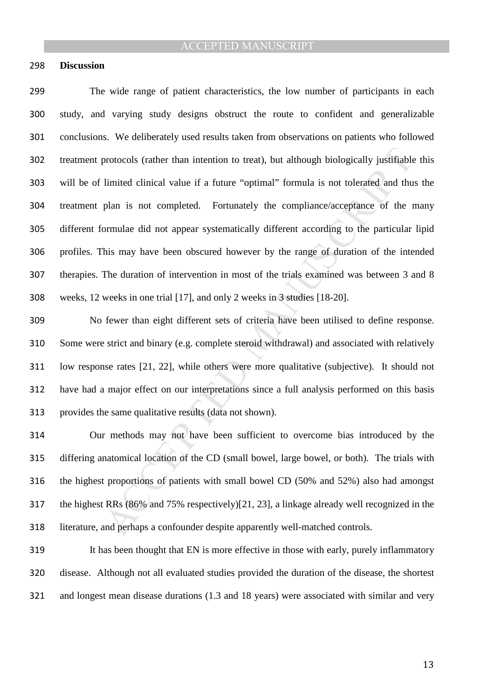#### **Discussion**

protocols (rather than intention to treat), but although biologically justifiable<br>limited clinical value if a future "optimal" formula is not tolerated and thu<br>plan is not completed. Fortunately the compliance/acceptance o The wide range of patient characteristics, the low number of participants in each study, and varying study designs obstruct the route to confident and generalizable conclusions. We deliberately used results taken from observations on patients who followed treatment protocols (rather than intention to treat), but although biologically justifiable this will be of limited clinical value if a future "optimal" formula is not tolerated and thus the treatment plan is not completed. Fortunately the compliance/acceptance of the many different formulae did not appear systematically different according to the particular lipid profiles. This may have been obscured however by the range of duration of the intended therapies. The duration of intervention in most of the trials examined was between 3 and 8 weeks, 12 weeks in one trial [17], and only 2 weeks in 3 studies [18-20].

No fewer than eight different sets of criteria have been utilised to define response. Some were strict and binary (e.g. complete steroid withdrawal) and associated with relatively low response rates [21, 22], while others were more qualitative (subjective). It should not have had a major effect on our interpretations since a full analysis performed on this basis provides the same qualitative results (data not shown).

Our methods may not have been sufficient to overcome bias introduced by the differing anatomical location of the CD (small bowel, large bowel, or both). The trials with the highest proportions of patients with small bowel CD (50% and 52%) also had amongst the highest RRs (86% and 75% respectively)[21, 23], a linkage already well recognized in the literature, and perhaps a confounder despite apparently well-matched controls.

It has been thought that EN is more effective in those with early, purely inflammatory disease. Although not all evaluated studies provided the duration of the disease, the shortest and longest mean disease durations (1.3 and 18 years) were associated with similar and very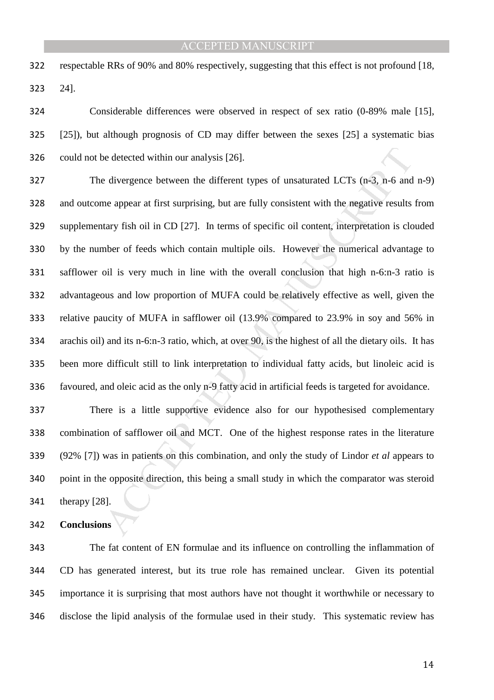respectable RRs of 90% and 80% respectively, suggesting that this effect is not profound [18, 24].

Considerable differences were observed in respect of sex ratio (0-89% male [15], [25]), but although prognosis of CD may differ between the sexes [25] a systematic bias could not be detected within our analysis [26].

be detected within our analysis [26].<br>
Le divergence between the different types of unsaturated LCTs (n-3, n-6 and<br>
the appear at first surprising, but are fully consistent with the negative results<br>
tary fish oil in CD [ The divergence between the different types of unsaturated LCTs (n-3, n-6 and n-9) and outcome appear at first surprising, but are fully consistent with the negative results from supplementary fish oil in CD [27]. In terms of specific oil content, interpretation is clouded by the number of feeds which contain multiple oils. However the numerical advantage to safflower oil is very much in line with the overall conclusion that high n-6:n-3 ratio is advantageous and low proportion of MUFA could be relatively effective as well, given the relative paucity of MUFA in safflower oil (13.9% compared to 23.9% in soy and 56% in arachis oil) and its n-6:n-3 ratio, which, at over 90, is the highest of all the dietary oils. It has 335 been more difficult still to link interpretation to individual fatty acids, but linoleic acid is favoured, and oleic acid as the only n-9 fatty acid in artificial feeds is targeted for avoidance.

There is a little supportive evidence also for our hypothesised complementary combination of safflower oil and MCT. One of the highest response rates in the literature (92% [7]) was in patients on this combination, and only the study of Lindor *et al* appears to point in the opposite direction, this being a small study in which the comparator was steroid therapy [28].

**Conclusions** 

The fat content of EN formulae and its influence on controlling the inflammation of CD has generated interest, but its true role has remained unclear. Given its potential importance it is surprising that most authors have not thought it worthwhile or necessary to disclose the lipid analysis of the formulae used in their study. This systematic review has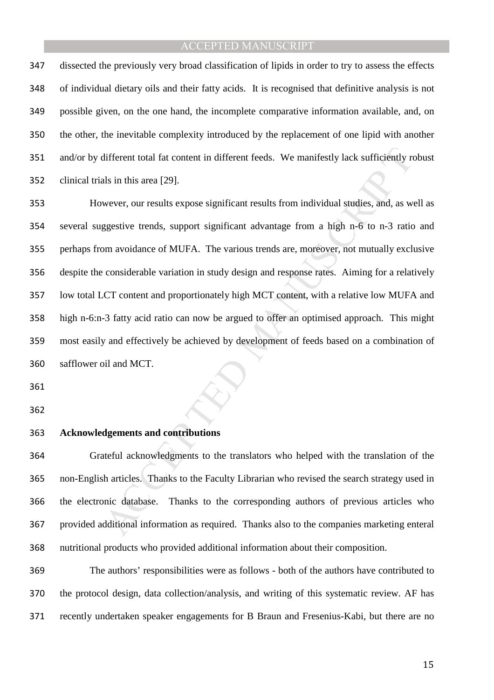dissected the previously very broad classification of lipids in order to try to assess the effects of individual dietary oils and their fatty acids. It is recognised that definitive analysis is not possible given, on the one hand, the incomplete comparative information available, and, on the other, the inevitable complexity introduced by the replacement of one lipid with another and/or by different total fat content in different feeds. We manifestly lack sufficiently robust clinical trials in this area [29].

different total fat content in different feeds. We manifestly lack sufficiently read usin this area [29].<br>
Muster, our results expose significant results from individual studies, and, as we<br>
suggestive trends, support sign However, our results expose significant results from individual studies, and, as well as several suggestive trends, support significant advantage from a high n-6 to n-3 ratio and perhaps from avoidance of MUFA. The various trends are, moreover, not mutually exclusive despite the considerable variation in study design and response rates. Aiming for a relatively low total LCT content and proportionately high MCT content, with a relative low MUFA and high n-6:n-3 fatty acid ratio can now be argued to offer an optimised approach. This might most easily and effectively be achieved by development of feeds based on a combination of safflower oil and MCT.

#### **Acknowledgements and contributions**

Grateful acknowledgments to the translators who helped with the translation of the non-English articles. Thanks to the Faculty Librarian who revised the search strategy used in the electronic database. Thanks to the corresponding authors of previous articles who provided additional information as required. Thanks also to the companies marketing enteral nutritional products who provided additional information about their composition.

The authors' responsibilities were as follows - both of the authors have contributed to the protocol design, data collection/analysis, and writing of this systematic review. AF has recently undertaken speaker engagements for B Braun and Fresenius-Kabi, but there are no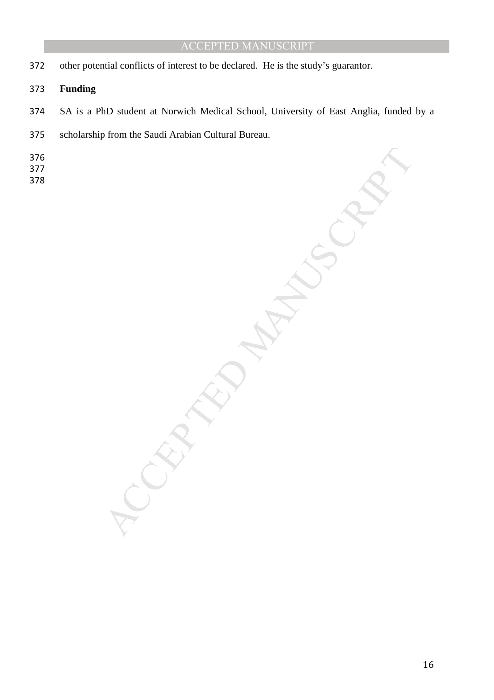other potential conflicts of interest to be declared. He is the study's guarantor.

## **Funding**

- SA is a PhD student at Norwich Medical School, University of East Anglia, funded by a
- scholarship from the Saudi Arabian Cultural Bureau.
- 
- 
- 

MANUSCRIPT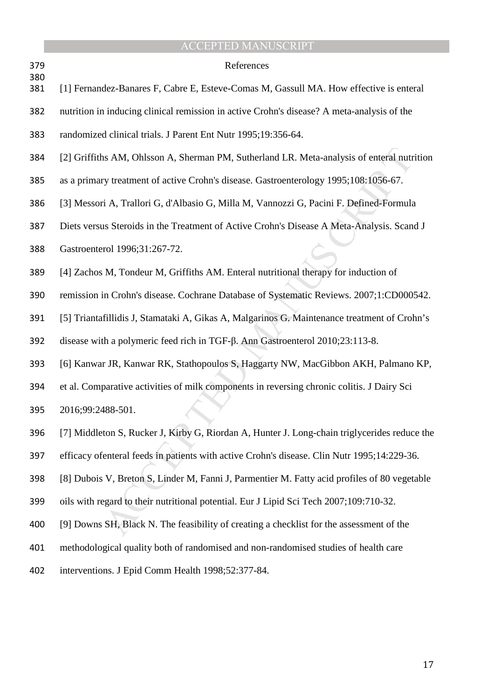|            | <b>ACCEPTED MANUSCRIPT</b>                                                                   |
|------------|----------------------------------------------------------------------------------------------|
| 379<br>380 | References                                                                                   |
| 381        | [1] Fernandez-Banares F, Cabre E, Esteve-Comas M, Gassull MA. How effective is enteral       |
| 382        | nutrition in inducing clinical remission in active Crohn's disease? A meta-analysis of the   |
| 383        | randomized clinical trials. J Parent Ent Nutr 1995;19:356-64.                                |
| 384        | [2] Griffiths AM, Ohlsson A, Sherman PM, Sutherland LR. Meta-analysis of enteral nutrition   |
| 385        | as a primary treatment of active Crohn's disease. Gastroenterology 1995;108:1056-67.         |
| 386        | [3] Messori A, Trallori G, d'Albasio G, Milla M, Vannozzi G, Pacini F. Defined-Formula       |
| 387        | Diets versus Steroids in the Treatment of Active Crohn's Disease A Meta-Analysis. Scand J    |
| 388        | Gastroenterol 1996;31:267-72.                                                                |
| 389        | [4] Zachos M, Tondeur M, Griffiths AM. Enteral nutritional therapy for induction of          |
| 390        | remission in Crohn's disease. Cochrane Database of Systematic Reviews. 2007;1:CD000542.      |
| 391        | [5] Triantafillidis J, Stamataki A, Gikas A, Malgarinos G. Maintenance treatment of Crohn's  |
| 392        | disease with a polymeric feed rich in TGF-β. Ann Gastroenterol 2010;23:113-8.                |
| 393        | [6] Kanwar JR, Kanwar RK, Stathopoulos S, Haggarty NW, MacGibbon AKH, Palmano KP,            |
| 394        | et al. Comparative activities of milk components in reversing chronic colitis. J Dairy Sci   |
| 395        | 2016;99:2488-501.                                                                            |
| 396        | [7] Middleton S, Rucker J, Kirby G, Riordan A, Hunter J. Long-chain triglycerides reduce the |
| 397        | efficacy of enteral feeds in patients with active Crohn's disease. Clin Nutr 1995;14:229-36. |
| 398        | [8] Dubois V, Breton S, Linder M, Fanni J, Parmentier M. Fatty acid profiles of 80 vegetable |
| 399        | oils with regard to their nutritional potential. Eur J Lipid Sci Tech 2007;109:710-32.       |
| 400        | [9] Downs SH, Black N. The feasibility of creating a checklist for the assessment of the     |
| 401        | methodological quality both of randomised and non-randomised studies of health care          |
| 402        | interventions. J Epid Comm Health 1998;52:377-84.                                            |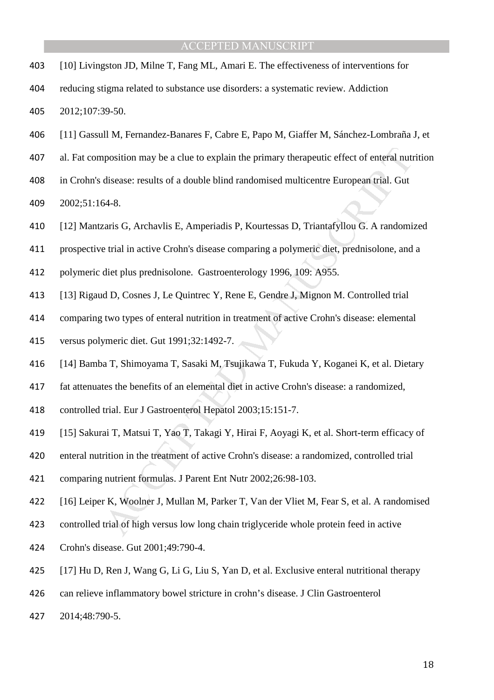- [10] Livingston JD, Milne T, Fang ML, Amari E. The effectiveness of interventions for
- reducing stigma related to substance use disorders: a systematic review. Addiction 2012;107:39-50.
- [11] Gassull M, Fernandez-Banares F, Cabre E, Papo M, Giaffer M, Sánchez-Lombraña J, et
- position may be a clue to explain the primary therapeutic effect of enteral nut<br>disease: results of a double blind randomised multicentre European trial. Gut<br>44-8.<br>24-8.<br>34-8.<br>24-8.<br>24-8.<br>24-8.<br>24-8.<br>24-8.<br>24-8.<br>24-8.<br>24-8 al. Fat composition may be a clue to explain the primary therapeutic effect of enteral nutrition
- in Crohn's disease: results of a double blind randomised multicentre European trial. Gut

2002;51:164-8.

- [12] Mantzaris G, Archavlis E, Amperiadis P, Kourtessas D, Triantafyllou G. A randomized
- prospective trial in active Crohn's disease comparing a polymeric diet, prednisolone, and a
- polymeric diet plus prednisolone. Gastroenterology 1996, 109: A955.
- [13] Rigaud D, Cosnes J, Le Quintrec Y, Rene E, Gendre J, Mignon M. Controlled trial
- comparing two types of enteral nutrition in treatment of active Crohn's disease: elemental
- versus polymeric diet. Gut 1991;32:1492-7.
- [14] Bamba T, Shimoyama T, Sasaki M, Tsujikawa T, Fukuda Y, Koganei K, et al. Dietary
- fat attenuates the benefits of an elemental diet in active Crohn's disease: a randomized,
- controlled trial. Eur J Gastroenterol Hepatol 2003;15:151-7.
- [15] Sakurai T, Matsui T, Yao T, Takagi Y, Hirai F, Aoyagi K, et al. Short-term efficacy of
- enteral nutrition in the treatment of active Crohn's disease: a randomized, controlled trial
- comparing nutrient formulas. J Parent Ent Nutr 2002;26:98-103.
- [16] Leiper K, Woolner J, Mullan M, Parker T, Van der Vliet M, Fear S, et al. A randomised
- controlled trial of high versus low long chain triglyceride whole protein feed in active
- Crohn's disease. Gut 2001;49:790-4.
- [17] Hu D, Ren J, Wang G, Li G, Liu S, Yan D, et al. Exclusive enteral nutritional therapy
- can relieve inflammatory bowel stricture in crohn's disease. J Clin Gastroenterol
- 2014;48:790-5.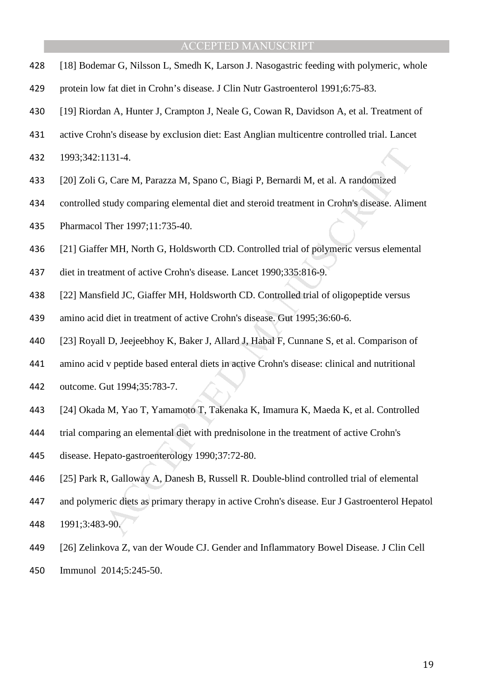- [18] Bodemar G, Nilsson L, Smedh K, Larson J. Nasogastric feeding with polymeric, whole
- protein low fat diet in Crohn's disease. J Clin Nutr Gastroenterol 1991;6:75-83.
- [19] Riordan A, Hunter J, Crampton J, Neale G, Cowan R, Davidson A, et al. Treatment of
- active Crohn's disease by exclusion diet: East Anglian multicentre controlled trial. Lancet
- 1993;342:1131-4.
- [20] Zoli G, Care M, Parazza M, Spano C, Biagi P, Bernardi M, et al. A randomized
- controlled study comparing elemental diet and steroid treatment in Crohn's disease. Aliment
- Pharmacol Ther 1997;11:735-40.
- [21] Giaffer MH, North G, Holdsworth CD. Controlled trial of polymeric versus elemental
- diet in treatment of active Crohn's disease. Lancet 1990;335:816-9.
- [22] Mansfield JC, Giaffer MH, Holdsworth CD. Controlled trial of oligopeptide versus
- amino acid diet in treatment of active Crohn's disease. Gut 1995;36:60-6.
- [23] Royall D, Jeejeebhoy K, Baker J, Allard J, Habal F, Cunnane S, et al. Comparison of
- amino acid v peptide based enteral diets in active Crohn's disease: clinical and nutritional
- outcome. Gut 1994;35:783-7.
- [24] Okada M, Yao T, Yamamoto T, Takenaka K, Imamura K, Maeda K, et al. Controlled
- trial comparing an elemental diet with prednisolone in the treatment of active Crohn's
- disease. Hepato-gastroenterology 1990;37:72-80.
- [25] Park R, Galloway A, Danesh B, Russell R. Double-blind controlled trial of elemental
- 1131-4.<br>
Si, Care M, Parazza M, Spano C, Biagi P, Bernardi M, et al. A randomized<br>
study comparing elemental diet and steroid treatment in Crohn's disease. Alim<br>
Ther 1997;11:735-40.<br>
or MH, North G, Holdsworth CD. Control and polymeric diets as primary therapy in active Crohn's disease. Eur J Gastroenterol Hepatol 1991;3:483-90.
- [26] Zelinkova Z, van der Woude CJ. Gender and Inflammatory Bowel Disease. J Clin Cell Immunol 2014;5:245-50.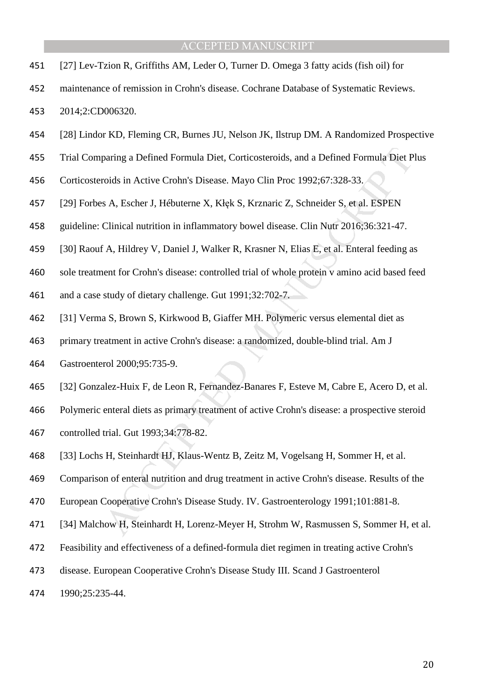- [27] Lev-Tzion R, Griffiths AM, Leder O, Turner D. Omega 3 fatty acids (fish oil) for
- maintenance of remission in Crohn's disease. Cochrane Database of Systematic Reviews. 2014;2:CD006320.
- [28] Lindor KD, Fleming CR, Burnes JU, Nelson JK, Ilstrup DM. A Randomized Prospective
- Trial Comparing a Defined Formula Diet, Corticosteroids, and a Defined Formula Diet Plus
- Corticosteroids in Active Crohn's Disease. Mayo Clin Proc 1992;67:328-33.
- [29] Forbes A, Escher J, Hébuterne X, Kłęk S, Krznaric Z, Schneider S, et al. ESPEN
- guideline: Clinical nutrition in inflammatory bowel disease. Clin Nutr 2016;36:321-47.
- [30] Raouf A, Hildrey V, Daniel J, Walker R, Krasner N, Elias E, et al. Enteral feeding as
- sole treatment for Crohn's disease: controlled trial of whole protein v amino acid based feed
- and a case study of dietary challenge. Gut 1991;32:702-7.
- [31] Verma S, Brown S, Kirkwood B, Giaffer MH. Polymeric versus elemental diet as
- primary treatment in active Crohn's disease: a randomized, double-blind trial. Am J
- Gastroenterol 2000;95:735-9.
- [32] Gonzalez-Huix F, de Leon R, Fernandez-Banares F, Esteve M, Cabre E, Acero D, et al.
- paring a Defined Formula Diet, Corticosteroids, and a Defined Formula Diet P<br>voids in Active Crohn's Disease. Mayo Clin Proc 1992;67:328-33.<br>
S. A. Escher J. Hébuterne X. Kłçk S. Krznaric Z. Schneider S. et al. ESPEN<br>
Clin Polymeric enteral diets as primary treatment of active Crohn's disease: a prospective steroid
- controlled trial. Gut 1993;34:778-82.
- [33] Lochs H, Steinhardt HJ, Klaus-Wentz B, Zeitz M, Vogelsang H, Sommer H, et al.
- Comparison of enteral nutrition and drug treatment in active Crohn's disease. Results of the
- European Cooperative Crohn's Disease Study. IV. Gastroenterology 1991;101:881-8.
- [34] Malchow H, Steinhardt H, Lorenz-Meyer H, Strohm W, Rasmussen S, Sommer H, et al.
- Feasibility and effectiveness of a defined-formula diet regimen in treating active Crohn's
- disease. European Cooperative Crohn's Disease Study III. Scand J Gastroenterol
- 1990;25:235-44.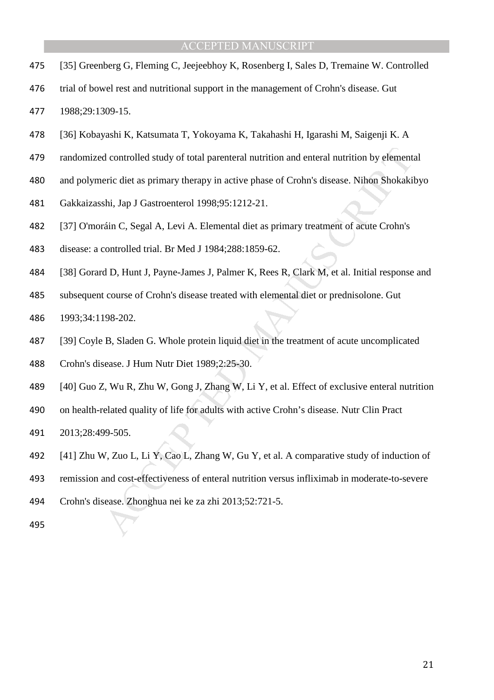- [35] Greenberg G, Fleming C, Jeejeebhoy K, Rosenberg I, Sales D, Tremaine W. Controlled
- trial of bowel rest and nutritional support in the management of Crohn's disease. Gut

1988;29:1309-15.

- [36] Kobayashi K, Katsumata T, Yokoyama K, Takahashi H, Igarashi M, Saigenji K. A
- randomized controlled study of total parenteral nutrition and enteral nutrition by elemental
- and polymeric diet as primary therapy in active phase of Crohn's disease. Nihon Shokakibyo
- Gakkaizasshi, Jap J Gastroenterol 1998;95:1212-21.
- [37] O'moráin C, Segal A, Levi A. Elemental diet as primary treatment of acute Crohn's
- disease: a controlled trial. Br Med J 1984;288:1859-62.
- [38] Gorard D, Hunt J, Payne-James J, Palmer K, Rees R, Clark M, et al. Initial response and
- subsequent course of Crohn's disease treated with elemental diet or prednisolone. Gut
- 1993;34:1198-202.
- d controlled study of total parenteral nutrition and enteral nutrition by element<br>eric diet as primary therapy in active phase of Crohn's disease. Nihon Shokaki<br>shi, Jap J Gastroenterol 1998;95:1212-21.<br>sáin C, Segal A, Le [39] Coyle B, Sladen G. Whole protein liquid diet in the treatment of acute uncomplicated
- Crohn's disease. J Hum Nutr Diet 1989;2:25-30.
- [40] Guo Z, Wu R, Zhu W, Gong J, Zhang W, Li Y, et al. Effect of exclusive enteral nutrition
- on health-related quality of life for adults with active Crohn's disease. Nutr Clin Pract
- 2013;28:499-505.
- [41] Zhu W, Zuo L, Li Y, Cao L, Zhang W, Gu Y, et al. A comparative study of induction of
- remission and cost-effectiveness of enteral nutrition versus infliximab in moderate-to-severe
- Crohn's disease. Zhonghua nei ke za zhi 2013;52:721-5.
-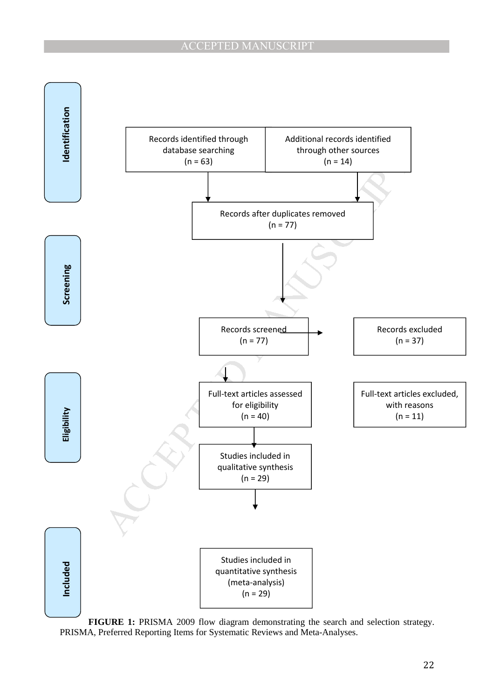

**FIGURE 1:** PRISMA 2009 flow diagram demonstrating the search and selection strategy. PRISMA, Preferred Reporting Items for Systematic Reviews and Meta-Analyses.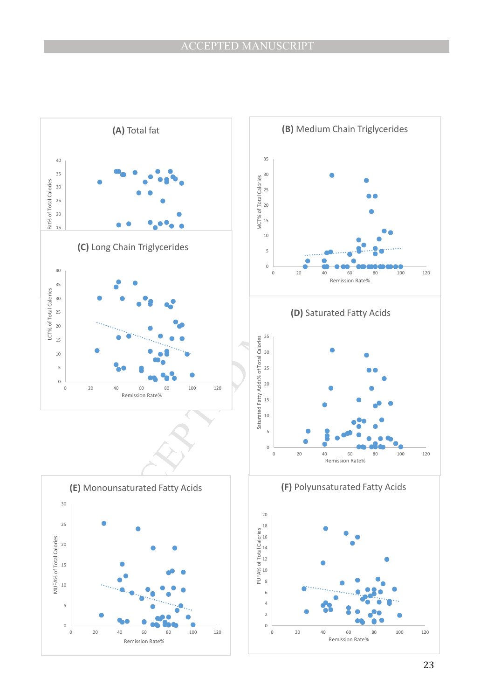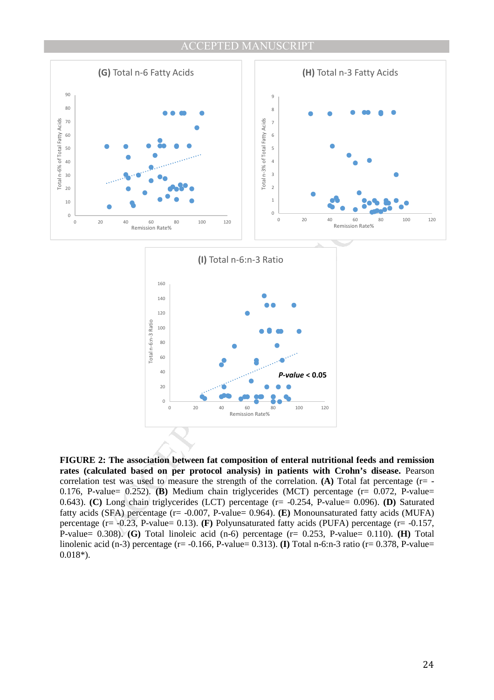



**FIGURE 2: The association between fat composition of enteral nutritional feeds and remission rates (calculated based on per protocol analysis) in patients with Crohn's disease.** Pearson correlation test was used to measure the strength of the correlation. **(A)** Total fat percentage (r= -0.176, P-value= 0.252). **(B)** Medium chain triglycerides (MCT) percentage (r= 0.072, P-value= 0.643). **(C)** Long chain triglycerides (LCT) percentage (r= -0.254, P-value= 0.096). **(D)** Saturated fatty acids (SFA) percentage (r= -0.007, P-value= 0.964). **(E)** Monounsaturated fatty acids (MUFA) percentage (r= -0.23, P-value= 0.13). **(F)** Polyunsaturated fatty acids (PUFA) percentage (r= -0.157, P-value= 0.308). **(G)** Total linoleic acid (n-6) percentage (r= 0.253, P-value= 0.110). **(H)** Total linolenic acid (n-3) percentage (r= -0.166, P-value= 0.313). **(I)** Total n-6:n-3 ratio (r= 0.378, P-value= 0.018\*).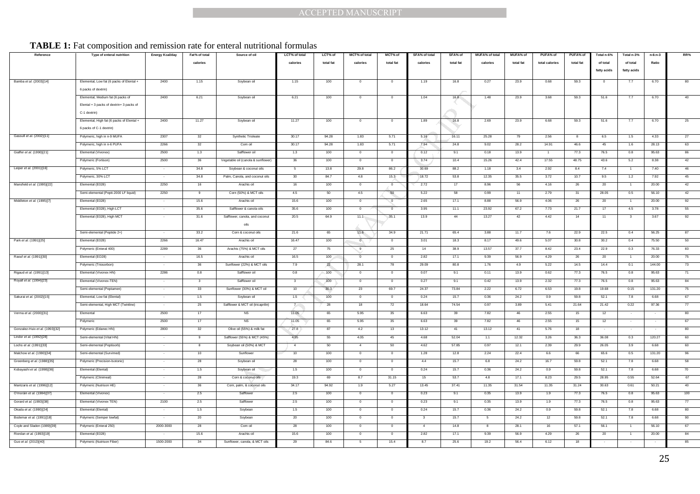## TABLE 1: Fat composition and remission rate for enteral nutritional formulas

|                                 |                                                                                     |                        |               |                                                |                |           | <b>ACCEPTED MANUSCRIPT</b> |                          |                         |             |                       |            |                |             |             |                |            |          |
|---------------------------------|-------------------------------------------------------------------------------------|------------------------|---------------|------------------------------------------------|----------------|-----------|----------------------------|--------------------------|-------------------------|-------------|-----------------------|------------|----------------|-------------|-------------|----------------|------------|----------|
|                                 |                                                                                     |                        |               |                                                |                |           |                            |                          |                         |             |                       |            |                |             |             |                |            |          |
|                                 |                                                                                     |                        |               |                                                |                |           |                            |                          |                         |             |                       |            |                |             |             |                |            |          |
|                                 |                                                                                     |                        |               |                                                |                |           |                            |                          |                         |             |                       |            |                |             |             |                |            |          |
|                                 | <b>TABLE 1:</b> Fat composition and remission rate for enteral nutritional formulas |                        |               |                                                |                |           |                            |                          |                         |             |                       |            |                |             |             |                |            |          |
| Reference                       | Type of enteral nutrition                                                           | <b>Energy Kcal/day</b> | Fat% of total | Source of oil                                  | LCT% of total  | LCT% of   | MCT% of total              | MCT% of                  | SFA% of total           | SFA% of     | <b>MUFA% of total</b> | MUFA% of   | PUFA% of       | PUFA% of    | Total n-6%  | Total n-3%     | $n-6: n-3$ | RR%      |
|                                 |                                                                                     |                        | calories      |                                                | calories       | total fat | calories                   | total fat                | calories                | total fat   | calories              | total fat  | total calories | total fat   | of total    | of total       | Ratio      |          |
|                                 |                                                                                     |                        |               |                                                |                |           |                            |                          |                         |             |                       |            |                |             | fatty acids | fatty acids    |            |          |
| Bamba et al. (2003)[14]         | Elemental, Low fat (6 packs of Elental +                                            | 2400                   | 1.15          | Soybean oil                                    | 1.15           | 100       | $\mathbf 0$                | $\mathbf{0}$             | 1.19                    | 16.8        | 0.27                  | 23.9       | 0.68           | 59.3        | $\circ$     | 7.7            | 6.70       | 80       |
|                                 | 6 packs of dextrin)                                                                 |                        |               |                                                |                |           |                            |                          |                         |             |                       |            |                |             |             |                |            |          |
|                                 | Elemental, Medium fat (6 packs of                                                   | 2400                   | 6.21          | Soybean oil                                    | 6.21           | 100       |                            |                          | 1.04                    | 16.8        | 1.48                  | 23.9       | 3.68           | 59.3        | 51.6        | 7.7            | 6.70       |          |
|                                 | Elental + 3 packs of dextrin+ 3 packs of                                            |                        |               |                                                |                |           |                            |                          |                         |             |                       |            |                |             |             |                |            |          |
|                                 | C-1 dextrin)                                                                        |                        |               |                                                |                |           |                            |                          |                         |             |                       |            |                |             |             |                |            |          |
|                                 | Elemental, High fat (6 packs of Elental +                                           | 2400                   | 11.27         | Soybean oil                                    | 11.27          | 100       | $^{\circ}$                 | $^{\circ}$               | 1.89                    | 16.8        | 2.69                  | 23.9       | 6.68           | 59.3        | 51.6        | 7.7            | 6.70       | 25       |
|                                 | 6 packs of C-1 dextrin)                                                             |                        |               |                                                |                |           |                            |                          |                         |             |                       |            |                |             |             |                |            |          |
| Gassull et al. (2002)[11]       | Polymeric, high in n-9 MUFA                                                         | 2307                   | 32            | Synthetic Trioleate                            | 30.17          | 94.28     | 1.83                       | 5.71                     | 5.16                    | 16.11       | 25.28                 | 79         | 2.56           | 8           | 6.5         | 1.5            | 4.33       | 27       |
|                                 | Polymeric, high in n-6 PUFA                                                         | 2266                   | 32            | Corn oil                                       | 30.17          | 94.28     | 1.83                       | 5.71                     | 7.94                    | 24.8        | 9.02                  | 28.2       | 14.91          | 46.6        | 45          | 1.6            | 28.13      | 63       |
| Giaffer et al. (1990)[21]       | Elemental (Vivonex)                                                                 | 2500                   | 1.3           | Safflower oil                                  | 1.3            | 100       | $\circ$                    | $\mathbf 0$              | 0.12                    | 9.1         | 0.18                  | 13.9       |                | 77.3        | 76.5        | 0.8            | 95.63      | 86       |
|                                 | Polymeric (Fortison)                                                                | 2500                   | 36            | Vegetable oil (canola & sunflowe               | 36             | 100       | $^{\circ}$                 | $^{\circ}$               | 3.74                    | 10.4        | 15.26                 | 42.4       | 17.55          | 48.75       | 43.6        | 5.2            | 8.38       | 42       |
| Leiper et al. (2001)[16]        | Polymeric, 5% LCT                                                                   |                        | 34.8          | Soybean & coconut oils                         | 5              | 13.8      | 29.8                       | 86.2                     | 30.69                   | 88.2        | 1.18                  | 3.4        | 2.92           | 8.4         | 7.4         |                | 7.40       | 46       |
|                                 | Polymeric, 30% LCT                                                                  |                        | 34.8          | Palm, Canola, and coconut oils                 | 30             | 84.7      | 4.8                        | 15.3                     | 18.72                   | 53.8        | 12.35                 | 35.5       | 3.72           | 10.7        | 9.5         | 1.2            | 7.92       | 45       |
| Mansfield et al. (1995)[22]     | Elemental (E028)                                                                    | 2250                   | 16            | Arachis oil                                    | 16             | 100       | $\circ$                    | $\mathbf{0}$             | 2.72                    | 17          | 8.96                  | 56         | 4.16           | 26          | 20          |                | 20.00      | 42       |
|                                 | Semi-elemental (Pepti-2000 LF liquid)                                               | 2250                   | $\mathbf{Q}$  | Corn (50%) & MCT oils                          | 4.5            | 50        | 4.5                        | 50                       | 5.22                    | 58          | 0.99                  | 11         | 2.79           | 31          | 28.05       | 0.5            | 56.10      | 42       |
| Middleton et al. (1995)[7]      | Elemental (E028)                                                                    |                        | 15.6          | Arachis oil                                    | 15.6           | 100       | $\mathbf 0$                | $\overline{\phantom{0}}$ | 2.65                    | 17.1        | 8.88                  | 56.9       | 4.06           | 26          | 20          |                | 20.00      | 92       |
|                                 | Elemental (E028), High LCT                                                          |                        | 35.6          | Safflower & canola oils                        | 35.6           | 100       | $\circ$                    |                          | 3.95                    | 11.1        | 23.92                 | 67.2       | 7.73           | 21.7        | 17          | 4.5            | 3.78       | 55       |
|                                 | Elemental (E028), High MCT                                                          |                        | 31.6          | Safflower, canola, and coconut                 | 20.5           | 64.9      | 11.1                       | 35.1                     | 13.9                    | 44          | 13.27                 | 42         | 4.42           | 14          | 11          |                | 3.67       | 92       |
|                                 |                                                                                     |                        |               | oils                                           |                |           |                            |                          |                         |             |                       |            |                |             |             |                |            |          |
|                                 | Semi-elemental (Peptide 2+)                                                         |                        | 33.2          | Corn & coconut oils                            | 21.6           | 65        | 11.6                       | 34.9                     | 21.71                   | 65.4        | 3.88                  | 11.7       | 7.6            | 22.9        | 22.5        | 0.4            | 56.25      | 87       |
| Park et al. (1991)[25]          | Elemental (E028)                                                                    | 2266                   | 16.47         | Arachis oil                                    | 16.47          | 100       | $\overline{0}$             | $\overline{0}$           | 3.01                    | 18.3        | 8.17                  | 49.6       | 5.07           | 30.8        | 30.2        | 0.4            | 75.50      | 50       |
|                                 | Polymeric (Enteral 400)                                                             | 2289                   | 36            | Arachis (75%) & MCT oils                       | 27             | 75        | 9                          | 25                       | 14                      | 38.9        | 13.57                 | 37.7       | 8.42           | 23.4        | 22.9        | 0.3            | 76.33      | 83       |
| Raouf et al. (1991)[30]         | Elemental (EO28)                                                                    |                        | 16.5          | Arachis oil                                    | 16.5           | 100       | $\sigma$                   | $\Omega$                 | 2.82                    | 17.1        | 9.39                  | 56.9       | 4.29           | 26          | 20          |                | 20.00      | 75       |
|                                 | Polymeric (Triosorbon)                                                              |                        | 36            | Sunflower (22%) & MCT oils                     | 7.9            | 22        | 28.1                       | 78                       | 29.09                   | 80.8        | 1.76                  | 4.9        | 5.22           | 14.5        | 14.4        | 0.1            | 144.00     | 73       |
| Rigaud et al. (1991)[13]        | Elemental (Vivonex HN)                                                              | 2286                   | 0.8           | Safflower oil                                  | 0.8            | 100       | $\Omega$                   |                          | 0.07                    | 9.1         | 0.11                  | 13.9       | 0.62           | 77.3        | 76.5        | 0.8            | 95.63      | 71       |
| Royall et al. (1994)[23]        | Elemental (Vivonex-TEN)                                                             |                        |               | Safflower oil                                  |                | 100       | $^{\circ}$                 |                          | 0.27                    | 9.1         | 0.42                  | 13.9       | 2.32           | 77.3        | 76.5        | 0.8            | 95.63      | 84       |
|                                 | Semi-elemental (Peptamen)                                                           |                        | 33            | Sunflower (30%) & MCT oil                      | 10             | 30.3      | 23                         | 69.7<br>$\mathbf{0}$     | 24.37                   | 73.84       | 2.22                  | 6.72       | 6.53           | 19.8        | 19.68       | 0.15           | 131.20     | 75       |
| Sakurai et al. (2002)[15]       | Elemental, Low fat (Elental)                                                        |                        | 1.5           | Soybean oil                                    | 1.5            | 100       | $\mathbf 0$                |                          | 0.24                    | 15.7        | 0.36<br>0.97          | 24.2       | 0.9            | 59.8        | 52.1        | 7.8            | 6.68       | 67       |
| Verma et al. (2000)[31]         | Semi-elemental, High MCT (Twinline)<br>Elemental                                    | 2500                   | 25<br>17      | Safflower & MCT oil (tricaprilin)<br><b>NS</b> | $7 -$<br>11.05 | 28<br>65  | 18<br>5.95                 | 72<br>35                 | 18.64<br>6.63           | 74.54<br>39 | 7.82                  | 3.89<br>46 | 5.41<br>2.55   | 21.64<br>15 | 21.42<br>12 | 0.22           | 97.36      | 77<br>80 |
|                                 | Polymeric                                                                           | 2500                   |               |                                                | 11.05          | 65        | 5.95                       | 35                       | 6.63                    | 39          | 7.82                  | 46         | 2.55           | 15          | 12          |                |            | 67       |
| Gonzalez-Huix et al. (1993)[32] | Polymeric (Edanec HN)                                                               | 2800                   | 32            | Olive oil (55%) & milk fat                     | 27.8           | 87        | 4.2                        | 13                       | 13.12                   | 41          | 13.12                 | -41        | 5.76           |             |             |                |            | 80       |
| Lindor et al. (1992)[28]        | Semi-elemental (Vital HN)                                                           |                        | 9             | Safflower (55%) & MCT (45%                     | 4.95           | 55        | 4.05                       | 45                       | 4.68                    | 52.04       | 1.1                   | 12.32      | 3.26           | 36.3        | 36.08       | 0.3            | 120.27     | 60       |
| Lochs et al. (1991)[33]         | Semi-elemental (Peptisorb)                                                          |                        | 8             | Soybean oil (50%) & MCT                        | $\overline{4}$ | 50        | $\overline{4}$             | 50                       | 4.62                    | 57.85       | 0.97                  | 12.1       | 2.39           | 29.9        | 26.05       | 3.9            | 6.68       | 60       |
| Malchow et al. (1990)[34]       | Semi-elemental (Survimed)                                                           |                        | 10            | Sunflower                                      | 10             | 100       | $\circ$                    | $^{\circ}$               | 1.28                    | 12.8        | 2.24                  | 22.4       | 6.6            | 66          | 65.6        | 0.5            | 131.20     | 96       |
| Greenberg et al. (1988)[35]     | Polymeric (Precision-Isotonic)                                                      |                        | 28            | Soybean oil                                    | 28             | 100       | $\circ$                    | $\Omega$                 | 4.4                     | 15.7        | 6.8                   | 24.2       | 16.7           | 59.8        | 52.1        | 7.8            | 6.68       | 58       |
| Kobayashi et al. (1998)[36]     | Elemental (Elental)                                                                 |                        | 1.5           | Soybean oil                                    | 1.5            | 100       | $\circ$                    |                          | 0.24                    | 15.7        | 0.36                  | 24.2       | 0.9            | 59.8        | 52.1        | 7.8            | 6.68       | 70       |
|                                 | Polymeric (Clinimeal)                                                               |                        | 28            | Corn & coconut oils                            | 19.3           | 69        | 8.7                        | 31.15                    | 15                      | 53.7        | 4.8                   | 17.1       | 8.23           | 29.5        | 28.95       | 0.55           | 52.64      | 67       |
| Mantzaris et al. (1996)[12]     | Polymeric (Nutrison HE)                                                             |                        | 36            | Corn, palm, & coconut oils                     | 34.17          | 94.92     | 1.9                        | 5.27                     | 13.45                   | 37.41       | 11.35                 | 31.54      | 11.35          | 31.24       | 30.63       | 0.61           | 50.21      | 40       |
| O'moráin et al. (1984)[37]      | Elemental (Vivonex)                                                                 |                        | 2.5           | Safflower                                      | 2.5            | 100       | $^{\circ}$                 | $\overline{0}$           | 0.23                    | 9.1         | 0.35                  | 13.9       | 1.9            | 77.3        | 76.5        | 0.8            | 95.63      | 100      |
| Gorard et al. (1993)[38]        | Elemental (Vivonex TEN)                                                             | 2100                   | 2.5           | Safflower                                      | 2.5            | 100       | $\circ$                    | $\overline{0}$           | 0.23                    | 9.1         | 0.35                  | 13.9       | 1.9            | 77.3        | 76.5        | 0.8            | 95.63      | 77       |
| Okada et al. (1990)[24]         | Elemental (Elental)                                                                 |                        | 1.5           | Soybean                                        | 1.5            | 100       | $\mathbf{0}$               | $\overline{0}$           | 0.24                    | 15.7        | 0.36                  | 24.2       | 0.9            | 59.8        | 52.1        | 7.8            | 6.68       | 80       |
| Bodemar et al. (1991)[18]       | Polymeric (Semper lowfat)                                                           |                        | 20            | Soybean                                        | 20             | 100       | $\mathbf 0$                | $\mathbf{0}$             | $\overline{\mathbf{3}}$ | 15.7        | 5                     | 24.2       | 12             | 59.8        | 52.1        | 7.8            | 6.68       | 90       |
| Coyle and Sladen (1989)[39]     | Polymeric (Enteral 250)                                                             | 2000-3000              | 28            | Corn oil                                       | 28             | 100       | $\circ$                    | $\overline{0}$           | $\overline{4}$          | 14.8        | 8                     | 28.1       | 16             | 57.1        | 56.1        | $\overline{1}$ | 56.10      | 67       |
| Riordan et al. (1993)[19]       | Elemental (E028)                                                                    |                        | 15.6          | Arachis oil                                    | 15.6           | 100       | $\mathbf 0$                | $\mathbf{0}$             | 2.82                    | 17.1        | 9.39                  | 56.9       | 4.29           | 26          | 20          |                | 20.00      | 84       |
| Guo et al. (2013)[40]           | Polymeric (Nutrison Fiber)                                                          | 1500-2000              | - 34          | Sunflower, canola, & MCT oils                  | 29             | 84.6      | 5                          | 15.4                     | 8.7                     | 25.6        | 19.2                  | 56.4       | 6.12           | 18          |             |                |            | 85       |
|                                 |                                                                                     |                        |               |                                                |                |           |                            |                          |                         |             |                       |            |                |             |             |                |            |          |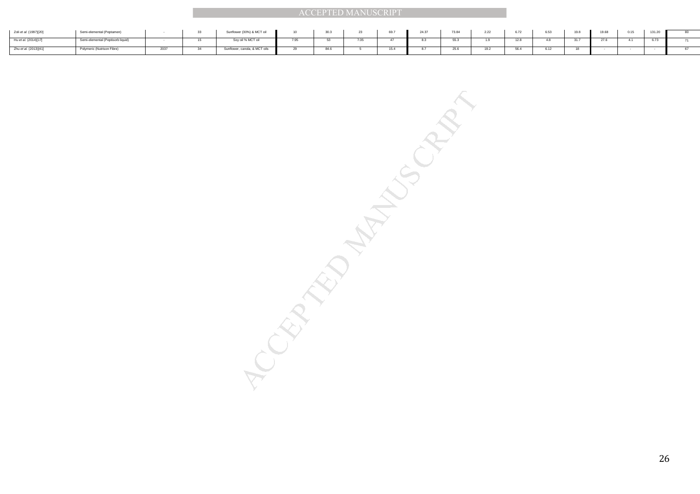| Zoli et al. (1997)[20] | Semi-elemental (Peptamen)         |      | - | Sunflower (30%) & MCT oil     | JU.J |    | 24.37 | 73.84    | 2.22 |      | 6.53 | 19.8 | 19.68 | 131.20 | 80 |
|------------------------|-----------------------------------|------|---|-------------------------------|------|----|-------|----------|------|------|------|------|-------|--------|----|
| Hu et al. (2014)[17]   | Semi-elemental (Peptisorb liquid) |      |   | Soy oil % MCT oil             |      |    |       | 55.3     |      |      | - 12 |      |       | 6.73   |    |
| Zhu et al. (2013)[41]  | Polymeric (Nutrison Fibre)        | 2037 |   | Sunflower, canola, & MCT oils | 84.6 | AC |       | $\theta$ |      | 56.4 | A    | 18   |       |        | 67 |

 $\frac{1}{\sqrt{2}}$ <br>  $\frac{1}{\sqrt{2}}$ <br>  $\frac{1}{\sqrt{2}}$ <br>  $\frac{1}{\sqrt{2}}$ <br>  $\frac{1}{\sqrt{2}}$ <br>  $\frac{1}{\sqrt{2}}$ <br>  $\frac{1}{\sqrt{2}}$ <br>  $\frac{1}{\sqrt{2}}$ <br>  $\frac{1}{\sqrt{2}}$ <br>  $\frac{1}{\sqrt{2}}$ <br>  $\frac{1}{\sqrt{2}}$ <br>  $\frac{1}{\sqrt{2}}$ <br>  $\frac{1}{\sqrt{2}}$ <br>  $\frac{1}{\sqrt{2}}$ <br>  $\frac{1}{\sqrt{2}}$ <br>  $\frac{1}{\sqrt{2}}$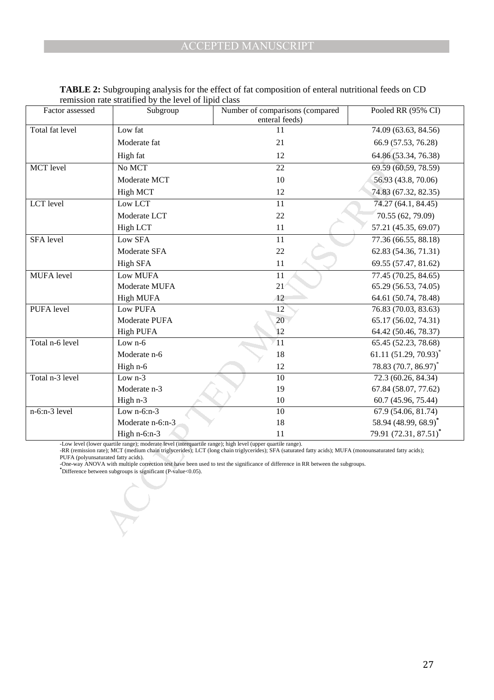| Factor assessed                                                                                                                                                        | Subgroup                                                                                                    | Number of comparisons (compared                                                                                                                          | Pooled RR (95% CI)                |  |  |  |  |  |  |  |
|------------------------------------------------------------------------------------------------------------------------------------------------------------------------|-------------------------------------------------------------------------------------------------------------|----------------------------------------------------------------------------------------------------------------------------------------------------------|-----------------------------------|--|--|--|--|--|--|--|
|                                                                                                                                                                        |                                                                                                             | enteral feeds)                                                                                                                                           |                                   |  |  |  |  |  |  |  |
| Total fat level                                                                                                                                                        | Low fat                                                                                                     | 11                                                                                                                                                       | 74.09 (63.63, 84.56)              |  |  |  |  |  |  |  |
|                                                                                                                                                                        | Moderate fat                                                                                                | 21                                                                                                                                                       | 66.9 (57.53, 76.28)               |  |  |  |  |  |  |  |
|                                                                                                                                                                        | High fat                                                                                                    | 12                                                                                                                                                       | 64.86 (53.34, 76.38)              |  |  |  |  |  |  |  |
| MCT level                                                                                                                                                              | No MCT                                                                                                      | 22                                                                                                                                                       | 69.59 (60.59, 78.59)              |  |  |  |  |  |  |  |
|                                                                                                                                                                        | Moderate MCT                                                                                                | 10                                                                                                                                                       | 56.93 (43.8, 70.06)               |  |  |  |  |  |  |  |
|                                                                                                                                                                        | <b>High MCT</b>                                                                                             | 12                                                                                                                                                       | 74.83 (67.32, 82.35)              |  |  |  |  |  |  |  |
| LCT level                                                                                                                                                              | Low LCT                                                                                                     | 11                                                                                                                                                       | 74.27 (64.1, 84.45)               |  |  |  |  |  |  |  |
|                                                                                                                                                                        | Moderate LCT                                                                                                | 22                                                                                                                                                       | 70.55 (62, 79.09)                 |  |  |  |  |  |  |  |
|                                                                                                                                                                        | <b>High LCT</b>                                                                                             | 11                                                                                                                                                       | 57.21 (45.35, 69.07)              |  |  |  |  |  |  |  |
| SFA level                                                                                                                                                              | Low SFA                                                                                                     | 11                                                                                                                                                       | 77.36 (66.55, 88.18)              |  |  |  |  |  |  |  |
|                                                                                                                                                                        | Moderate SFA                                                                                                | $22\,$                                                                                                                                                   | 62.83 (54.36, 71.31)              |  |  |  |  |  |  |  |
|                                                                                                                                                                        | <b>High SFA</b>                                                                                             | 11                                                                                                                                                       | 69.55 (57.47, 81.62)              |  |  |  |  |  |  |  |
| <b>MUFA</b> level                                                                                                                                                      | Low MUFA                                                                                                    | $\overline{11}$                                                                                                                                          | 77.45 (70.25, 84.65)              |  |  |  |  |  |  |  |
|                                                                                                                                                                        | Moderate MUFA                                                                                               | 21                                                                                                                                                       | 65.29 (56.53, 74.05)              |  |  |  |  |  |  |  |
|                                                                                                                                                                        | <b>High MUFA</b>                                                                                            | 12                                                                                                                                                       | 64.61 (50.74, 78.48)              |  |  |  |  |  |  |  |
| PUFA level                                                                                                                                                             | <b>Low PUFA</b>                                                                                             | 12                                                                                                                                                       | 76.83 (70.03, 83.63)              |  |  |  |  |  |  |  |
|                                                                                                                                                                        | Moderate PUFA                                                                                               | 20                                                                                                                                                       | 65.17 (56.02, 74.31)              |  |  |  |  |  |  |  |
|                                                                                                                                                                        | <b>High PUFA</b>                                                                                            | 12                                                                                                                                                       | 64.42 (50.46, 78.37)              |  |  |  |  |  |  |  |
| Total n-6 level                                                                                                                                                        | Low n-6                                                                                                     | 11                                                                                                                                                       | 65.45 (52.23, 78.68)              |  |  |  |  |  |  |  |
|                                                                                                                                                                        | Moderate n-6                                                                                                | 18                                                                                                                                                       | 61.11 $(51.29, 70.93)^{*}$        |  |  |  |  |  |  |  |
|                                                                                                                                                                        | High n-6                                                                                                    | 12                                                                                                                                                       | 78.83 (70.7, 86.97) <sup>*</sup>  |  |  |  |  |  |  |  |
| Total n-3 level                                                                                                                                                        | Low $n-3$                                                                                                   | 10                                                                                                                                                       | 72.3 (60.26, 84.34)               |  |  |  |  |  |  |  |
|                                                                                                                                                                        | Moderate n-3                                                                                                | 19                                                                                                                                                       | 67.84 (58.07, 77.62)              |  |  |  |  |  |  |  |
|                                                                                                                                                                        | High n-3                                                                                                    | 10                                                                                                                                                       | 60.7 (45.96, 75.44)               |  |  |  |  |  |  |  |
| n-6:n-3 level                                                                                                                                                          | Low $n-6:n-3$                                                                                               | $\overline{10}$                                                                                                                                          | 67.9 (54.06, 81.74)               |  |  |  |  |  |  |  |
|                                                                                                                                                                        | Moderate n-6:n-3                                                                                            | 18                                                                                                                                                       | 58.94 (48.99, 68.9) <sup>*</sup>  |  |  |  |  |  |  |  |
|                                                                                                                                                                        | High $n-6$ : $n-3$                                                                                          | 11                                                                                                                                                       | 79.91 (72.31, 87.51) <sup>*</sup> |  |  |  |  |  |  |  |
|                                                                                                                                                                        | -Low level (lower quartile range); moderate level (interquartile range); high level (upper quartile range). | -RR (remission rate); MCT (medium chain triglycerides); LCT (long chain triglycerides); SFA (saturated fatty acids); MUFA (monounsaturated fatty acids); |                                   |  |  |  |  |  |  |  |
| PUFA (polyunsaturated fatty acids).<br>-One-way ANOVA with multiple correction test have been used to test the significance of difference in RR between the subgroups. |                                                                                                             |                                                                                                                                                          |                                   |  |  |  |  |  |  |  |
| $\check{D}$ Difference between subgroups is significant (P-value < 0.05).                                                                                              |                                                                                                             |                                                                                                                                                          |                                   |  |  |  |  |  |  |  |
|                                                                                                                                                                        |                                                                                                             |                                                                                                                                                          |                                   |  |  |  |  |  |  |  |
|                                                                                                                                                                        |                                                                                                             |                                                                                                                                                          |                                   |  |  |  |  |  |  |  |
|                                                                                                                                                                        |                                                                                                             |                                                                                                                                                          |                                   |  |  |  |  |  |  |  |
|                                                                                                                                                                        |                                                                                                             |                                                                                                                                                          |                                   |  |  |  |  |  |  |  |
|                                                                                                                                                                        |                                                                                                             |                                                                                                                                                          |                                   |  |  |  |  |  |  |  |

**TABLE 2:** Subgrouping analysis for the effect of fat composition of enteral nutritional feeds on CD remission rate stratified by the level of lipid class